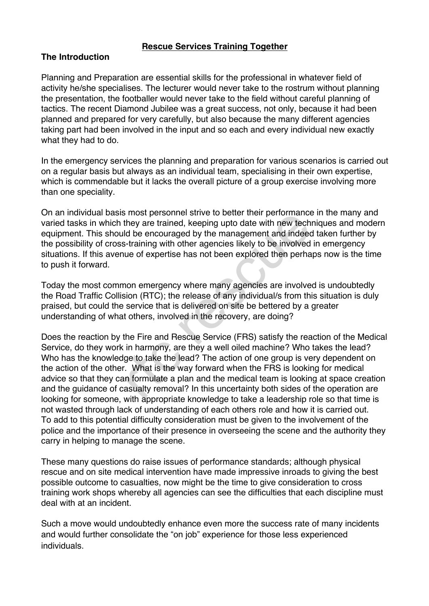## **Rescue Services Training Together**

## **The Introduction**

Planning and Preparation are essential skills for the professional in whatever field of activity he/she specialises. The lecturer would never take to the rostrum without planning the presentation, the footballer would never take to the field without careful planning of tactics. The recent Diamond Jubilee was a great success, not only, because it had been planned and prepared for very carefully, but also because the many different agencies taking part had been involved in the input and so each and every individual new exactly what they had to do.

In the emergency services the planning and preparation for various scenarios is carried out on a regular basis but always as an individual team, specialising in their own expertise, which is commendable but it lacks the overall picture of a group exercise involving more than one speciality.

On an individual basis most personnel strive to better their performance in the many and varied tasks in which they are trained, keeping upto date with new techniques and modern equipment. This should be encouraged by the management and indeed taken further by the possibility of cross-training with other agencies likely to be involved in emergency situations. If this avenue of expertise has not been explored then perhaps now is the time to push it forward.

Today the most common emergency where many agencies are involved is undoubtedly the Road Traffic Collision (RTC); the release of any individual/s from this situation is duly praised, but could the service that is delivered on site be bettered by a greater understanding of what others, involved in the recovery, are doing?

Does the reaction by the Fire and Rescue Service (FRS) satisfy the reaction of the Medical Service, do they work in harmony, are they a well oiled machine? Who takes the lead? Who has the knowledge to take the lead? The action of one group is very dependent on the action of the other. What is the way forward when the FRS is looking for medical advice so that they can formulate a plan and the medical team is looking at space creation and the guidance of casualty removal? In this uncertainty both sides of the operation are looking for someone, with appropriate knowledge to take a leadership role so that time is not wasted through lack of understanding of each others role and how it is carried out. To add to this potential difficulty consideration must be given to the involvement of the police and the importance of their presence in overseeing the scene and the authority they carry in helping to manage the scene. resonnel strive to better their performance<br>they are trained, keeping upto date with new tech<br>ld be encouraged by the management and indeed<br>s-training with other agencies likely to be involved<br>uue of expertise has not been

These many questions do raise issues of performance standards; although physical rescue and on site medical intervention have made impressive inroads to giving the best possible outcome to casualties, now might be the time to give consideration to cross training work shops whereby all agencies can see the difficulties that each discipline must deal with at an incident.

Such a move would undoubtedly enhance even more the success rate of many incidents and would further consolidate the "on job" experience for those less experienced individuals.